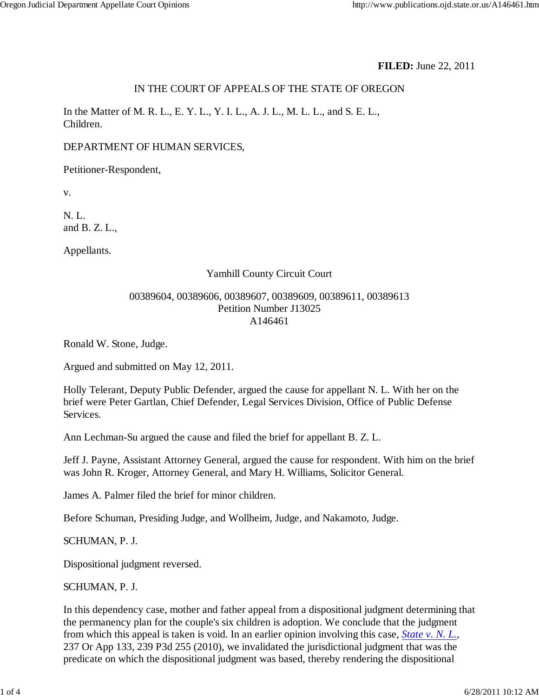## **FILED:** June 22, 2011

### IN THE COURT OF APPEALS OF THE STATE OF OREGON

In the Matter of M. R. L., E. Y. L., Y. I. L., A. J. L., M. L. L., and S. E. L., Children.

### DEPARTMENT OF HUMAN SERVICES,

Petitioner-Respondent,

v.

N. L. and B. Z. L.,

Appellants.

# Yamhill County Circuit Court

### 00389604, 00389606, 00389607, 00389609, 00389611, 00389613 Petition Number J13025 A146461

Ronald W. Stone, Judge.

Argued and submitted on May 12, 2011.

Holly Telerant, Deputy Public Defender, argued the cause for appellant N. L. With her on the brief were Peter Gartlan, Chief Defender, Legal Services Division, Office of Public Defense Services.

Ann Lechman-Su argued the cause and filed the brief for appellant B. Z. L.

Jeff J. Payne, Assistant Attorney General, argued the cause for respondent. With him on the brief was John R. Kroger, Attorney General, and Mary H. Williams, Solicitor General.

James A. Palmer filed the brief for minor children.

Before Schuman, Presiding Judge, and Wollheim, Judge, and Nakamoto, Judge.

SCHUMAN, P. J.

Dispositional judgment reversed.

### SCHUMAN, P. J.

In this dependency case, mother and father appeal from a dispositional judgment determining that the permanency plan for the couple's six children is adoption. We conclude that the judgment from which this appeal is taken is void. In an earlier opinion involving this case, *State v. N. L.*, 237 Or App 133, 239 P3d 255 (2010), we invalidated the jurisdictional judgment that was the predicate on which the dispositional judgment was based, thereby rendering the dispositional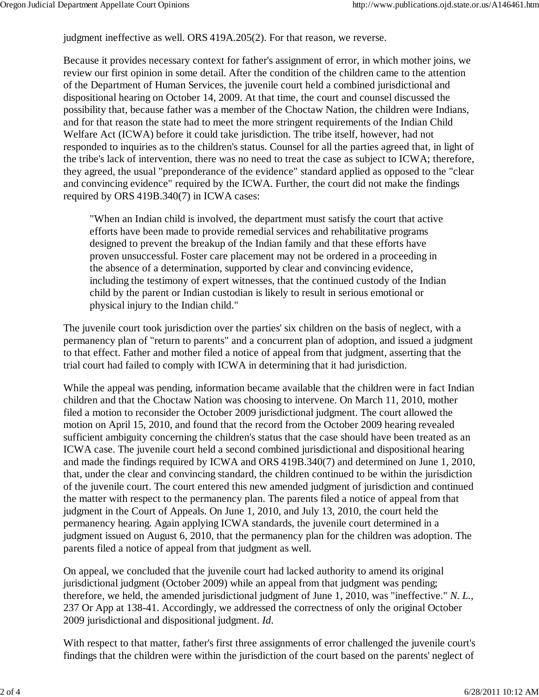judgment ineffective as well. ORS 419A.205(2). For that reason, we reverse.

Because it provides necessary context for father's assignment of error, in which mother joins, we review our first opinion in some detail. After the condition of the children came to the attention of the Department of Human Services, the juvenile court held a combined jurisdictional and dispositional hearing on October 14, 2009. At that time, the court and counsel discussed the possibility that, because father was a member of the Choctaw Nation, the children were Indians, and for that reason the state had to meet the more stringent requirements of the Indian Child Welfare Act (ICWA) before it could take jurisdiction. The tribe itself, however, had not responded to inquiries as to the children's status. Counsel for all the parties agreed that, in light of the tribe's lack of intervention, there was no need to treat the case as subject to ICWA; therefore, they agreed, the usual "preponderance of the evidence" standard applied as opposed to the "clear and convincing evidence" required by the ICWA. Further, the court did not make the findings required by ORS 419B.340(7) in ICWA cases:

"When an Indian child is involved, the department must satisfy the court that active efforts have been made to provide remedial services and rehabilitative programs designed to prevent the breakup of the Indian family and that these efforts have proven unsuccessful. Foster care placement may not be ordered in a proceeding in the absence of a determination, supported by clear and convincing evidence, including the testimony of expert witnesses, that the continued custody of the Indian child by the parent or Indian custodian is likely to result in serious emotional or physical injury to the Indian child."

The juvenile court took jurisdiction over the parties' six children on the basis of neglect, with a permanency plan of "return to parents" and a concurrent plan of adoption, and issued a judgment to that effect. Father and mother filed a notice of appeal from that judgment, asserting that the trial court had failed to comply with ICWA in determining that it had jurisdiction.

While the appeal was pending, information became available that the children were in fact Indian children and that the Choctaw Nation was choosing to intervene. On March 11, 2010, mother filed a motion to reconsider the October 2009 jurisdictional judgment. The court allowed the motion on April 15, 2010, and found that the record from the October 2009 hearing revealed sufficient ambiguity concerning the children's status that the case should have been treated as an ICWA case. The juvenile court held a second combined jurisdictional and dispositional hearing and made the findings required by ICWA and ORS 419B.340(7) and determined on June 1, 2010, that, under the clear and convincing standard, the children continued to be within the jurisdiction of the juvenile court. The court entered this new amended judgment of jurisdiction and continued the matter with respect to the permanency plan. The parents filed a notice of appeal from that judgment in the Court of Appeals. On June 1, 2010, and July 13, 2010, the court held the permanency hearing. Again applying ICWA standards, the juvenile court determined in a judgment issued on August 6, 2010, that the permanency plan for the children was adoption. The parents filed a notice of appeal from that judgment as well.

On appeal, we concluded that the juvenile court had lacked authority to amend its original jurisdictional judgment (October 2009) while an appeal from that judgment was pending; therefore, we held, the amended jurisdictional judgment of June 1, 2010, was "ineffective." *N. L.*, 237 Or App at 138-41. Accordingly, we addressed the correctness of only the original October 2009 jurisdictional and dispositional judgment. *Id*.

With respect to that matter, father's first three assignments of error challenged the juvenile court's findings that the children were within the jurisdiction of the court based on the parents' neglect of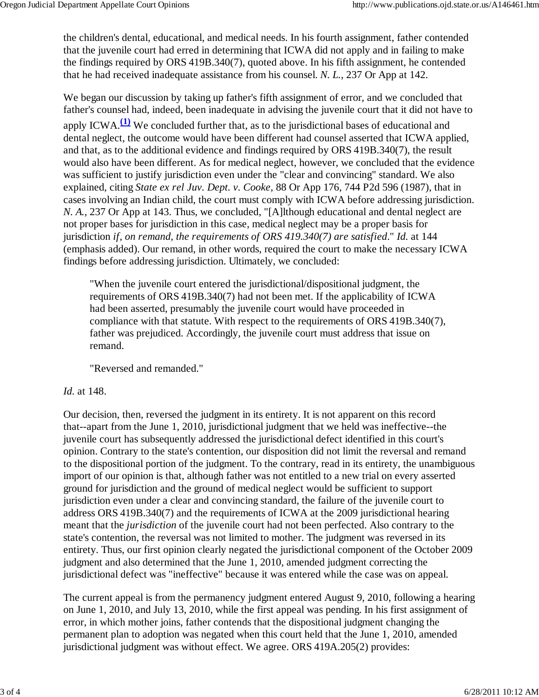the children's dental, educational, and medical needs. In his fourth assignment, father contended that the juvenile court had erred in determining that ICWA did not apply and in failing to make the findings required by ORS 419B.340(7), quoted above. In his fifth assignment, he contended that he had received inadequate assistance from his counsel. *N. L.*, 237 Or App at 142.

We began our discussion by taking up father's fifth assignment of error, and we concluded that father's counsel had, indeed, been inadequate in advising the juvenile court that it did not have to apply ICWA.**(1)** We concluded further that, as to the jurisdictional bases of educational and dental neglect, the outcome would have been different had counsel asserted that ICWA applied, and that, as to the additional evidence and findings required by ORS 419B.340(7), the result would also have been different. As for medical neglect, however, we concluded that the evidence was sufficient to justify jurisdiction even under the "clear and convincing" standard. We also explained, citing *State ex rel Juv. Dept. v. Cooke*, 88 Or App 176, 744 P2d 596 (1987), that in cases involving an Indian child, the court must comply with ICWA before addressing jurisdiction. *N. A.*, 237 Or App at 143. Thus, we concluded, "[A]lthough educational and dental neglect are not proper bases for jurisdiction in this case, medical neglect may be a proper basis for jurisdiction *if, on remand, the requirements of ORS 419.340(7) are satisfied*." *Id.* at 144 (emphasis added). Our remand, in other words, required the court to make the necessary ICWA findings before addressing jurisdiction. Ultimately, we concluded:

"When the juvenile court entered the jurisdictional/dispositional judgment, the requirements of ORS 419B.340(7) had not been met. If the applicability of ICWA had been asserted, presumably the juvenile court would have proceeded in compliance with that statute. With respect to the requirements of ORS 419B.340(7), father was prejudiced. Accordingly, the juvenile court must address that issue on remand.

"Reversed and remanded."

### *Id.* at 148.

Our decision, then, reversed the judgment in its entirety. It is not apparent on this record that--apart from the June 1, 2010, jurisdictional judgment that we held was ineffective--the juvenile court has subsequently addressed the jurisdictional defect identified in this court's opinion. Contrary to the state's contention, our disposition did not limit the reversal and remand to the dispositional portion of the judgment. To the contrary, read in its entirety, the unambiguous import of our opinion is that, although father was not entitled to a new trial on every asserted ground for jurisdiction and the ground of medical neglect would be sufficient to support jurisdiction even under a clear and convincing standard, the failure of the juvenile court to address ORS 419B.340(7) and the requirements of ICWA at the 2009 jurisdictional hearing meant that the *jurisdiction* of the juvenile court had not been perfected. Also contrary to the state's contention, the reversal was not limited to mother. The judgment was reversed in its entirety. Thus, our first opinion clearly negated the jurisdictional component of the October 2009 judgment and also determined that the June 1, 2010, amended judgment correcting the jurisdictional defect was "ineffective" because it was entered while the case was on appeal.

The current appeal is from the permanency judgment entered August 9, 2010, following a hearing on June 1, 2010, and July 13, 2010, while the first appeal was pending. In his first assignment of error, in which mother joins, father contends that the dispositional judgment changing the permanent plan to adoption was negated when this court held that the June 1, 2010, amended jurisdictional judgment was without effect. We agree. ORS 419A.205(2) provides: